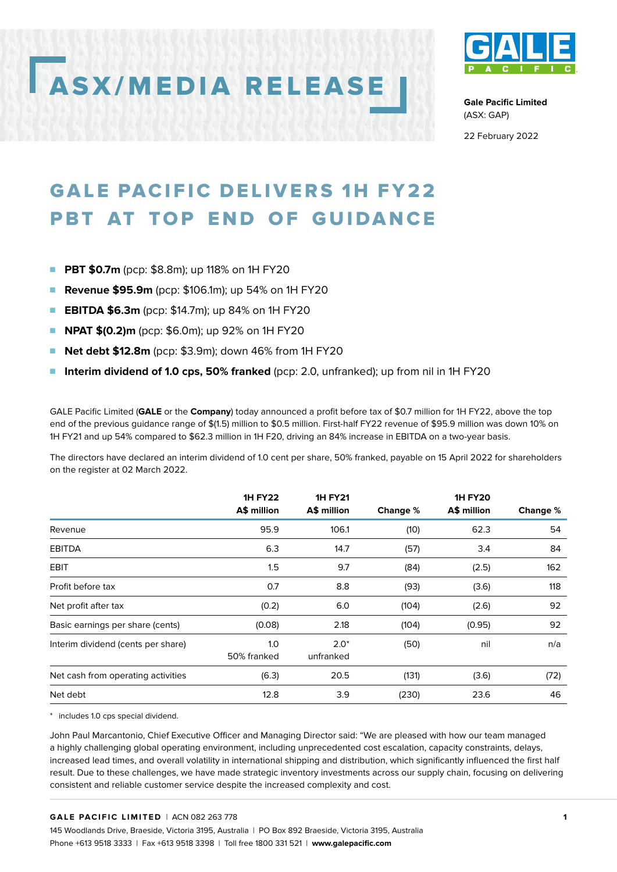# ASX/MEDIA RELEASE



**Gale Pacific Limited**  (ASX: GAP)

22 February 2022

## GALE PACIFIC DELIVERS 1H FY22 PBT AT TOP END OF GUIDANCE

- **PBT \$0.7m** (pcp: \$8.8m); up 118% on 1H FY20
- **Revenue \$95.9m** (pcp: \$106.1m); up 54% on 1H FY20
- **EBITDA \$6.3m** (pcp: \$14.7m); up 84% on 1H FY20
- **NPAT \$(0.2)m** (pcp: \$6.0m); up 92% on 1H FY20
- **Net debt \$12.8m** (pcp: \$3.9m); down 46% from 1H FY20
- **Interim dividend of 1.0 cps, 50% franked** (pcp: 2.0, unfranked); up from nil in 1H FY20

GALE Pacific Limited (**GALE** or the **Company**) today announced a profit before tax of \$0.7 million for 1H FY22, above the top end of the previous guidance range of \$(1.5) million to \$0.5 million. First-half FY22 revenue of \$95.9 million was down 10% on 1H FY21 and up 54% compared to \$62.3 million in 1H F20, driving an 84% increase in EBITDA on a two-year basis.

The directors have declared an interim dividend of 1.0 cent per share, 50% franked, payable on 15 April 2022 for shareholders on the register at 02 March 2022.

|                                    | <b>1H FY22</b><br>A\$ million | <b>1H FY21</b><br>A\$ million | Change % | <b>1H FY20</b><br>A\$ million | Change % |
|------------------------------------|-------------------------------|-------------------------------|----------|-------------------------------|----------|
| Revenue                            | 95.9                          | 106.1                         | (10)     | 62.3                          | 54       |
| <b>EBITDA</b>                      | 6.3                           | 14.7                          | (57)     | 3.4                           | 84       |
| EBIT                               | 1.5                           | 9.7                           | (84)     | (2.5)                         | 162      |
| Profit before tax                  | 0.7                           | 8.8                           | (93)     | (3.6)                         | 118      |
| Net profit after tax               | (0.2)                         | 6.0                           | (104)    | (2.6)                         | 92       |
| Basic earnings per share (cents)   | (0.08)                        | 2.18                          | (104)    | (0.95)                        | 92       |
| Interim dividend (cents per share) | 1.0<br>50% franked            | $2.0*$<br>unfranked           | (50)     | nil                           | n/a      |
| Net cash from operating activities | (6.3)                         | 20.5                          | (131)    | (3.6)                         | (72)     |
| Net debt                           | 12.8                          | 3.9                           | (230)    | 23.6                          | 46       |

\* includes 1.0 cps special dividend.

John Paul Marcantonio, Chief Executive Officer and Managing Director said: "We are pleased with how our team managed a highly challenging global operating environment, including unprecedented cost escalation, capacity constraints, delays, increased lead times, and overall volatility in international shipping and distribution, which significantly influenced the first half result. Due to these challenges, we have made strategic inventory investments across our supply chain, focusing on delivering consistent and reliable customer service despite the increased complexity and cost.

#### **GALE PACIFIC LIMITED** | ACN 082 263 778

145 Woodlands Drive, Braeside, Victoria 3195, Australia | PO Box 892 Braeside, Victoria 3195, Australia Phone +613 9518 3333 | Fax +613 9518 3398 | Toll free 1800 331 521 | **www.galepacific.com**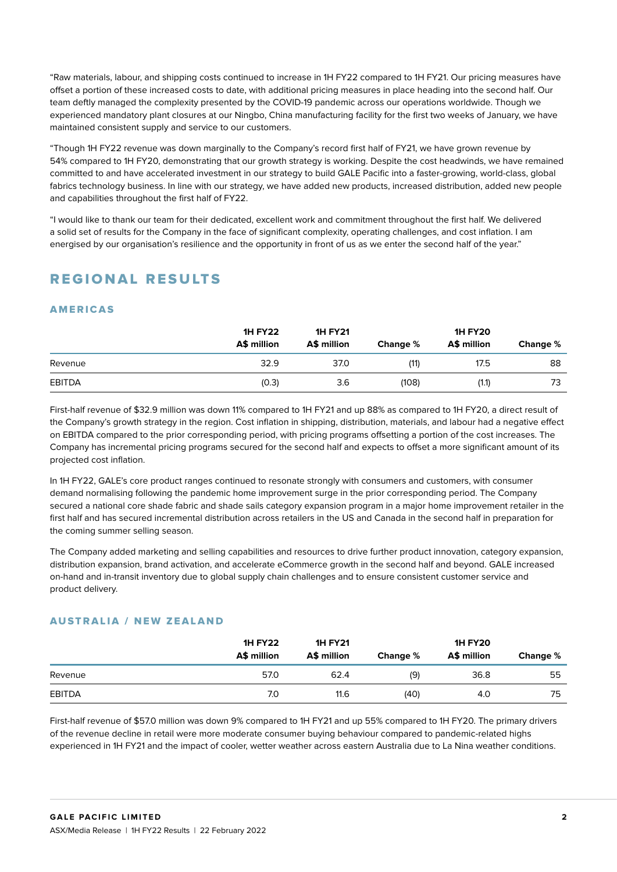"Raw materials, labour, and shipping costs continued to increase in 1H FY22 compared to 1H FY21. Our pricing measures have offset a portion of these increased costs to date, with additional pricing measures in place heading into the second half. Our team deftly managed the complexity presented by the COVID-19 pandemic across our operations worldwide. Though we experienced mandatory plant closures at our Ningbo, China manufacturing facility for the first two weeks of January, we have maintained consistent supply and service to our customers.

"Though 1H FY22 revenue was down marginally to the Company's record first half of FY21, we have grown revenue by 54% compared to 1H FY20, demonstrating that our growth strategy is working. Despite the cost headwinds, we have remained committed to and have accelerated investment in our strategy to build GALE Pacific into a faster-growing, world-class, global fabrics technology business. In line with our strategy, we have added new products, increased distribution, added new people and capabilities throughout the first half of FY22.

"I would like to thank our team for their dedicated, excellent work and commitment throughout the first half. We delivered a solid set of results for the Company in the face of significant complexity, operating challenges, and cost inflation. I am energised by our organisation's resilience and the opportunity in front of us as we enter the second half of the year."

## REGIONAL RESULTS

#### **AMERICAS**

|               | <b>1H FY22</b><br>A\$ million | <b>1H FY21</b><br>A\$ million | Change % | <b>1H FY20</b><br>A\$ million | Change % |
|---------------|-------------------------------|-------------------------------|----------|-------------------------------|----------|
| Revenue       | 32.9                          | 37.0                          | (11)     | 17.5                          | 88       |
| <b>EBITDA</b> | (0.3)                         | 3.6                           | (108)    | (1.1)                         | 73       |

First-half revenue of \$32.9 million was down 11% compared to 1H FY21 and up 88% as compared to 1H FY20, a direct result of the Company's growth strategy in the region. Cost inflation in shipping, distribution, materials, and labour had a negative effect on EBITDA compared to the prior corresponding period, with pricing programs offsetting a portion of the cost increases. The Company has incremental pricing programs secured for the second half and expects to offset a more significant amount of its projected cost inflation.

In 1H FY22, GALE's core product ranges continued to resonate strongly with consumers and customers, with consumer demand normalising following the pandemic home improvement surge in the prior corresponding period. The Company secured a national core shade fabric and shade sails category expansion program in a major home improvement retailer in the first half and has secured incremental distribution across retailers in the US and Canada in the second half in preparation for the coming summer selling season.

The Company added marketing and selling capabilities and resources to drive further product innovation, category expansion, distribution expansion, brand activation, and accelerate eCommerce growth in the second half and beyond. GALE increased on-hand and in-transit inventory due to global supply chain challenges and to ensure consistent customer service and product delivery.

#### AUSTRALIA / NEW ZEALAND

|         | <b>1H FY22</b><br>A\$ million | <b>1H FY21</b><br>A\$ million | Change % | <b>1H FY20</b><br>A\$ million | Change % |
|---------|-------------------------------|-------------------------------|----------|-------------------------------|----------|
| Revenue | 57.0                          | 62.4                          | (9)      | 36.8                          | 55       |
| EBITDA  | 7.0                           | 11.6                          | (40)     | 4.0                           | 75       |

First-half revenue of \$57.0 million was down 9% compared to 1H FY21 and up 55% compared to 1H FY20. The primary drivers of the revenue decline in retail were more moderate consumer buying behaviour compared to pandemic-related highs experienced in 1H FY21 and the impact of cooler, wetter weather across eastern Australia due to La Nina weather conditions.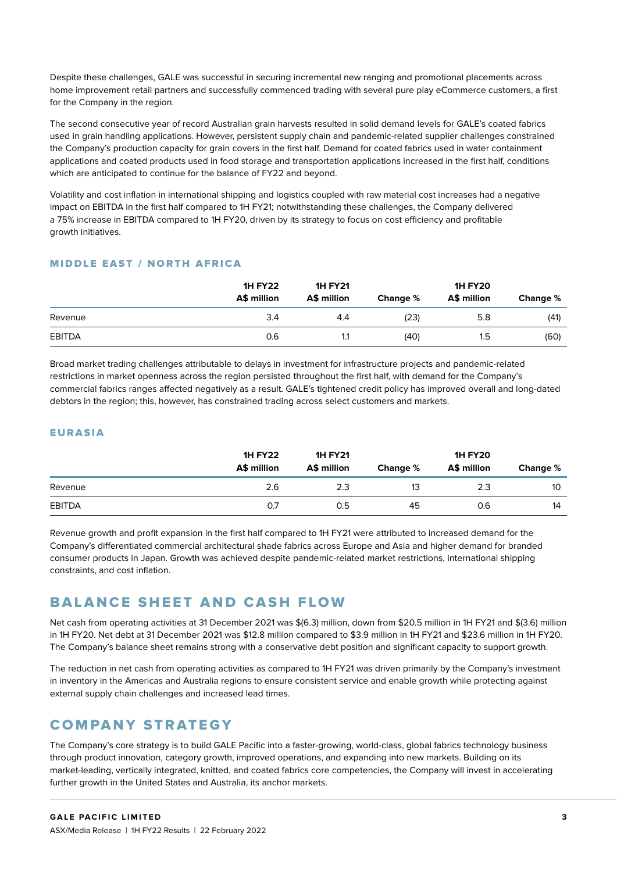Despite these challenges, GALE was successful in securing incremental new ranging and promotional placements across home improvement retail partners and successfully commenced trading with several pure play eCommerce customers, a first for the Company in the region.

The second consecutive year of record Australian grain harvests resulted in solid demand levels for GALE's coated fabrics used in grain handling applications. However, persistent supply chain and pandemic-related supplier challenges constrained the Company's production capacity for grain covers in the first half. Demand for coated fabrics used in water containment applications and coated products used in food storage and transportation applications increased in the first half, conditions which are anticipated to continue for the balance of FY22 and beyond.

Volatility and cost inflation in international shipping and logistics coupled with raw material cost increases had a negative impact on EBITDA in the first half compared to 1H FY21; notwithstanding these challenges, the Company delivered a 75% increase in EBITDA compared to 1H FY20, driven by its strategy to focus on cost efficiency and profitable growth initiatives.

#### MIDDLE EAST / NORTH AFRICA

|               | <b>1H FY22</b><br>A\$ million | <b>1H FY21</b><br>A\$ million | Change % | <b>1H FY20</b><br>A\$ million | Change % |
|---------------|-------------------------------|-------------------------------|----------|-------------------------------|----------|
| Revenue       | 3.4                           | 4.4                           | (23)     | 5.8                           | (41)     |
| <b>EBITDA</b> | 0.6                           |                               | (40)     | 1.5                           | (60)     |

Broad market trading challenges attributable to delays in investment for infrastructure projects and pandemic-related restrictions in market openness across the region persisted throughout the first half, with demand for the Company's commercial fabrics ranges affected negatively as a result. GALE's tightened credit policy has improved overall and long-dated debtors in the region; this, however, has constrained trading across select customers and markets.

#### EURASIA

|               | <b>1H FY22</b><br>A\$ million | <b>1H FY21</b><br>A\$ million | Change % | <b>1H FY20</b><br>A\$ million | Change % |
|---------------|-------------------------------|-------------------------------|----------|-------------------------------|----------|
| Revenue       | 2.6                           | 2.3                           | 13       | 2.3                           | 10       |
| <b>EBITDA</b> | 0.7                           | 0.5                           | 45       | 0.6                           | 14       |

Revenue growth and profit expansion in the first half compared to 1H FY21 were attributed to increased demand for the Company's differentiated commercial architectural shade fabrics across Europe and Asia and higher demand for branded consumer products in Japan. Growth was achieved despite pandemic-related market restrictions, international shipping constraints, and cost inflation.

## BALANCE SHEET AND CASH FLOW

Net cash from operating activities at 31 December 2021 was \$(6.3) million, down from \$20.5 million in 1H FY21 and \$(3.6) million in 1H FY20. Net debt at 31 December 2021 was \$12.8 million compared to \$3.9 million in 1H FY21 and \$23.6 million in 1H FY20. The Company's balance sheet remains strong with a conservative debt position and significant capacity to support growth.

The reduction in net cash from operating activities as compared to 1H FY21 was driven primarily by the Company's investment in inventory in the Americas and Australia regions to ensure consistent service and enable growth while protecting against external supply chain challenges and increased lead times.

## COMPANY STRATEGY

The Company's core strategy is to build GALE Pacific into a faster-growing, world-class, global fabrics technology business through product innovation, category growth, improved operations, and expanding into new markets. Building on its market-leading, vertically integrated, knitted, and coated fabrics core competencies, the Company will invest in accelerating further growth in the United States and Australia, its anchor markets.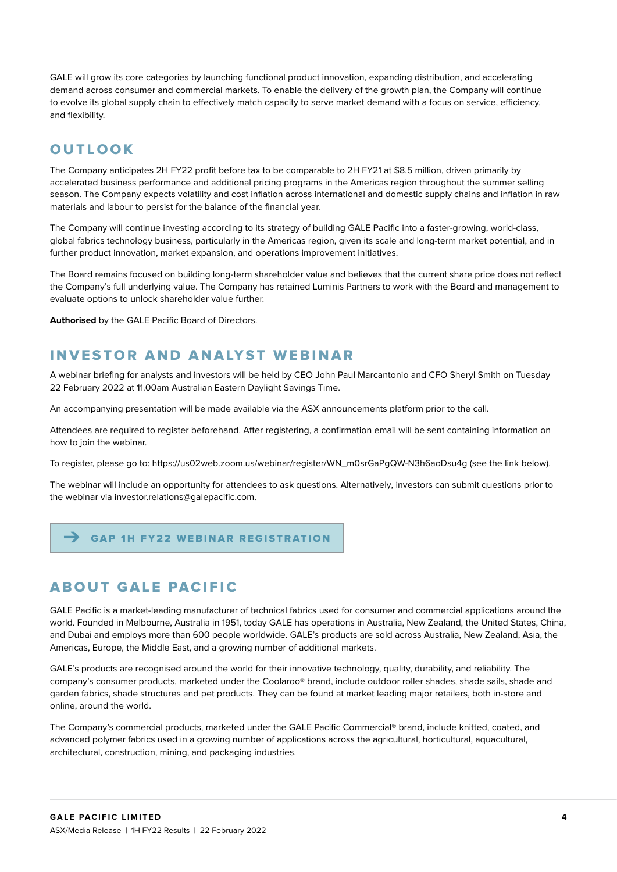GALE will grow its core categories by launching functional product innovation, expanding distribution, and accelerating demand across consumer and commercial markets. To enable the delivery of the growth plan, the Company will continue to evolve its global supply chain to effectively match capacity to serve market demand with a focus on service, efficiency, and flexibility.

## OUTLOOK

The Company anticipates 2H FY22 profit before tax to be comparable to 2H FY21 at \$8.5 million, driven primarily by accelerated business performance and additional pricing programs in the Americas region throughout the summer selling season. The Company expects volatility and cost inflation across international and domestic supply chains and inflation in raw materials and labour to persist for the balance of the financial year.

The Company will continue investing according to its strategy of building GALE Pacific into a faster-growing, world-class, global fabrics technology business, particularly in the Americas region, given its scale and long-term market potential, and in further product innovation, market expansion, and operations improvement initiatives.

The Board remains focused on building long-term shareholder value and believes that the current share price does not reflect the Company's full underlying value. The Company has retained Luminis Partners to work with the Board and management to evaluate options to unlock shareholder value further.

**Authorised** by the GALE Pacific Board of Directors.

#### INVESTOR AND ANALYST WEBINAR

A webinar briefing for analysts and investors will be held by CEO John Paul Marcantonio and CFO Sheryl Smith on Tuesday 22 February 2022 at 11.00am Australian Eastern Daylight Savings Time.

An accompanying presentation will be made available via the ASX announcements platform prior to the call.

Attendees are required to register beforehand. After registering, a confirmation email will be sent containing information on how to join the webinar.

To register, please go to: https://us02web.zoom.us/webinar/register/WN\_m0srGaPgQW-N3h6aoDsu4g (see the link below).

The webinar will include an opportunity for attendees to ask questions. Alternatively, investors can submit questions prior to the webinar via investor.relations@galepacific.com.

#### ➔ [GAP 1H FY22 WEBINAR REGISTRATION](https://us02web.zoom.us/webinar/register/WN_m0srGaPgQW-N3h6aoDsu4g)

## ABOUT GALE PACIFIC

GALE Pacific is a market-leading manufacturer of technical fabrics used for consumer and commercial applications around the world. Founded in Melbourne, Australia in 1951, today GALE has operations in Australia, New Zealand, the United States, China, and Dubai and employs more than 600 people worldwide. GALE's products are sold across Australia, New Zealand, Asia, the Americas, Europe, the Middle East, and a growing number of additional markets.

GALE's products are recognised around the world for their innovative technology, quality, durability, and reliability. The company's consumer products, marketed under the Coolaroo® brand, include outdoor roller shades, shade sails, shade and garden fabrics, shade structures and pet products. They can be found at market leading major retailers, both in-store and online, around the world.

The Company's commercial products, marketed under the GALE Pacific Commercial® brand, include knitted, coated, and advanced polymer fabrics used in a growing number of applications across the agricultural, horticultural, aquacultural, architectural, construction, mining, and packaging industries.